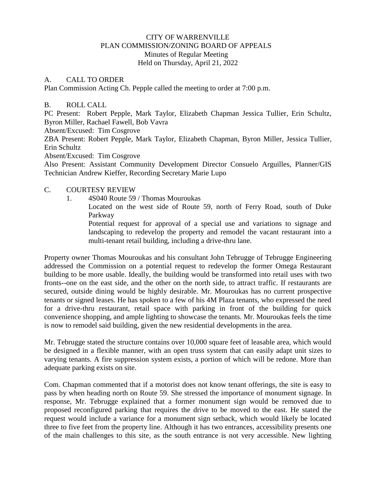## CITY OF WARRENVILLE PLAN COMMISSION/ZONING BOARD OF APPEALS Minutes of Regular Meeting Held on Thursday, April 21, 2022

#### A. CALL TO ORDER

Plan Commission Acting Ch. Pepple called the meeting to order at 7:00 p.m.

### B. ROLL CALL

PC Present: Robert Pepple, Mark Taylor, Elizabeth Chapman Jessica Tullier, Erin Schultz, Byron Miller, Rachael Fawell, Bob Vavra

Absent/Excused: Tim Cosgrove

ZBA Present: Robert Pepple, Mark Taylor, Elizabeth Chapman, Byron Miller, Jessica Tullier, Erin Schultz

Absent/Excused: Tim Cosgrove

Also Present: Assistant Community Development Director Consuelo Arguilles, Planner/GIS Technician Andrew Kieffer, Recording Secretary Marie Lupo

### C. COURTESY REVIEW

1. 4S040 Route 59 / Thomas Mouroukas

Located on the west side of Route 59, north of Ferry Road, south of Duke Parkway

Potential request for approval of a special use and variations to signage and landscaping to redevelop the property and remodel the vacant restaurant into a multi-tenant retail building, including a drive-thru lane.

Property owner Thomas Mouroukas and his consultant John Tebrugge of Tebrugge Engineering addressed the Commission on a potential request to redevelop the former Omega Restaurant building to be more usable. Ideally, the building would be transformed into retail uses with two fronts--one on the east side, and the other on the north side, to attract traffic. If restaurants are secured, outside dining would be highly desirable. Mr. Mouroukas has no current prospective tenants or signed leases. He has spoken to a few of his 4M Plaza tenants, who expressed the need for a drive-thru restaurant, retail space with parking in front of the building for quick convenience shopping, and ample lighting to showcase the tenants. Mr. Mouroukas feels the time is now to remodel said building, given the new residential developments in the area.

Mr. Tebrugge stated the structure contains over 10,000 square feet of leasable area, which would be designed in a flexible manner, with an open truss system that can easily adapt unit sizes to varying tenants. A fire suppression system exists, a portion of which will be redone. More than adequate parking exists on site.

Com. Chapman commented that if a motorist does not know tenant offerings, the site is easy to pass by when heading north on Route 59. She stressed the importance of monument signage. In response, Mr. Tebrugge explained that a former monument sign would be removed due to proposed reconfigured parking that requires the drive to be moved to the east. He stated the request would include a variance for a monument sign setback, which would likely be located three to five feet from the property line. Although it has two entrances, accessibility presents one of the main challenges to this site, as the south entrance is not very accessible. New lighting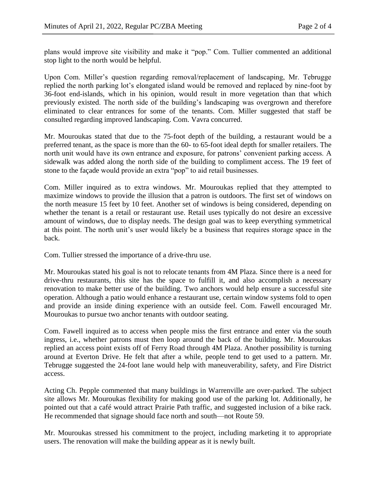plans would improve site visibility and make it "pop." Com. Tullier commented an additional stop light to the north would be helpful.

Upon Com. Miller's question regarding removal/replacement of landscaping, Mr. Tebrugge replied the north parking lot's elongated island would be removed and replaced by nine-foot by 36-foot end-islands, which in his opinion, would result in more vegetation than that which previously existed. The north side of the building's landscaping was overgrown and therefore eliminated to clear entrances for some of the tenants. Com. Miller suggested that staff be consulted regarding improved landscaping. Com. Vavra concurred.

Mr. Mouroukas stated that due to the 75-foot depth of the building, a restaurant would be a preferred tenant, as the space is more than the 60- to 65-foot ideal depth for smaller retailers. The north unit would have its own entrance and exposure, for patrons' convenient parking access. A sidewalk was added along the north side of the building to compliment access. The 19 feet of stone to the façade would provide an extra "pop" to aid retail businesses.

Com. Miller inquired as to extra windows. Mr. Mouroukas replied that they attempted to maximize windows to provide the illusion that a patron is outdoors. The first set of windows on the north measure 15 feet by 10 feet. Another set of windows is being considered, depending on whether the tenant is a retail or restaurant use. Retail uses typically do not desire an excessive amount of windows, due to display needs. The design goal was to keep everything symmetrical at this point. The north unit's user would likely be a business that requires storage space in the back.

Com. Tullier stressed the importance of a drive-thru use.

Mr. Mouroukas stated his goal is not to relocate tenants from 4M Plaza. Since there is a need for drive-thru restaurants, this site has the space to fulfill it, and also accomplish a necessary renovation to make better use of the building. Two anchors would help ensure a successful site operation. Although a patio would enhance a restaurant use, certain window systems fold to open and provide an inside dining experience with an outside feel. Com. Fawell encouraged Mr. Mouroukas to pursue two anchor tenants with outdoor seating.

Com. Fawell inquired as to access when people miss the first entrance and enter via the south ingress, i.e., whether patrons must then loop around the back of the building. Mr. Mouroukas replied an access point exists off of Ferry Road through 4M Plaza. Another possibility is turning around at Everton Drive. He felt that after a while, people tend to get used to a pattern. Mr. Tebrugge suggested the 24-foot lane would help with maneuverability, safety, and Fire District access.

Acting Ch. Pepple commented that many buildings in Warrenville are over-parked. The subject site allows Mr. Mouroukas flexibility for making good use of the parking lot. Additionally, he pointed out that a café would attract Prairie Path traffic, and suggested inclusion of a bike rack. He recommended that signage should face north and south—not Route 59.

Mr. Mouroukas stressed his commitment to the project, including marketing it to appropriate users. The renovation will make the building appear as it is newly built.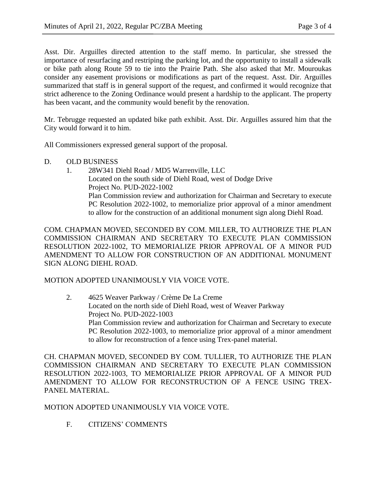Asst. Dir. Arguilles directed attention to the staff memo. In particular, she stressed the importance of resurfacing and restriping the parking lot, and the opportunity to install a sidewalk or bike path along Route 59 to tie into the Prairie Path. She also asked that Mr. Mouroukas consider any easement provisions or modifications as part of the request. Asst. Dir. Arguilles summarized that staff is in general support of the request, and confirmed it would recognize that strict adherence to the Zoning Ordinance would present a hardship to the applicant. The property has been vacant, and the community would benefit by the renovation.

Mr. Tebrugge requested an updated bike path exhibit. Asst. Dir. Arguilles assured him that the City would forward it to him.

All Commissioners expressed general support of the proposal.

- D. OLD BUSINESS
	- 1. 28W341 Diehl Road / MD5 Warrenville, LLC Located on the south side of Diehl Road, west of Dodge Drive Project No. PUD-2022-1002 Plan Commission review and authorization for Chairman and Secretary to execute PC Resolution 2022-1002, to memorialize prior approval of a minor amendment to allow for the construction of an additional monument sign along Diehl Road.

COM. CHAPMAN MOVED, SECONDED BY COM. MILLER, TO AUTHORIZE THE PLAN COMMISSION CHAIRMAN AND SECRETARY TO EXECUTE PLAN COMMISSION RESOLUTION 2022-1002, TO MEMORIALIZE PRIOR APPROVAL OF A MINOR PUD AMENDMENT TO ALLOW FOR CONSTRUCTION OF AN ADDITIONAL MONUMENT SIGN ALONG DIEHL ROAD.

# MOTION ADOPTED UNANIMOUSLY VIA VOICE VOTE.

2. 4625 Weaver Parkway / Crème De La Creme Located on the north side of Diehl Road, west of Weaver Parkway Project No. PUD-2022-1003 Plan Commission review and authorization for Chairman and Secretary to execute PC Resolution 2022-1003, to memorialize prior approval of a minor amendment to allow for reconstruction of a fence using Trex-panel material.

CH. CHAPMAN MOVED, SECONDED BY COM. TULLIER, TO AUTHORIZE THE PLAN COMMISSION CHAIRMAN AND SECRETARY TO EXECUTE PLAN COMMISSION RESOLUTION 2022-1003, TO MEMORIALIZE PRIOR APPROVAL OF A MINOR PUD AMENDMENT TO ALLOW FOR RECONSTRUCTION OF A FENCE USING TREX-PANEL MATERIAL.

MOTION ADOPTED UNANIMOUSLY VIA VOICE VOTE.

F. CITIZENS' COMMENTS